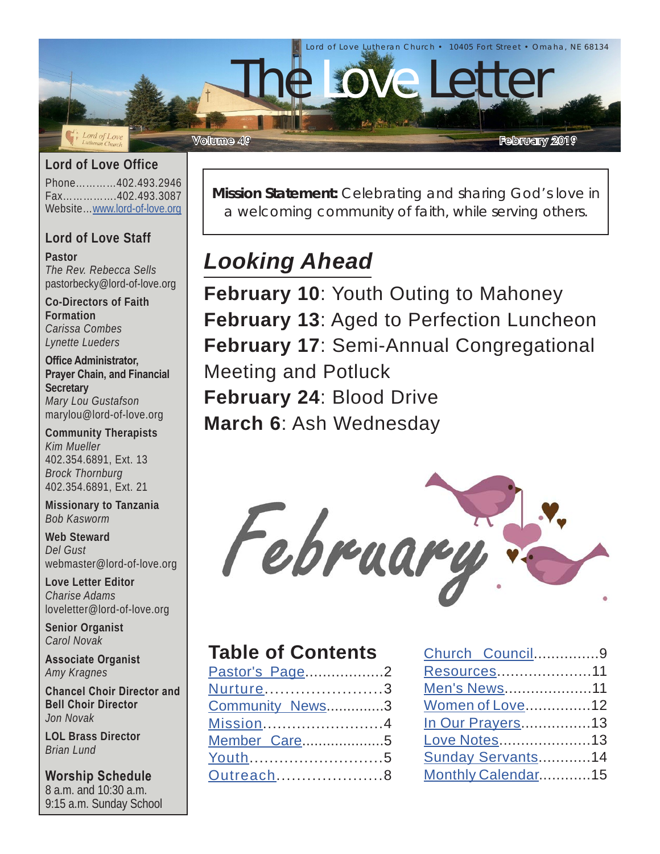

**Lord of Love Office**

Phone…………402.493.2946 Fax…………….402.493.3087 Website…[www.lord-of-love.org](http://www.lord-of-love.org)

### **Lord of Love Staff**

**Pastor** *The Rev. Rebecca Sells* pastorbecky@lord-of-love.org

**Co-Directors of Faith Formation** *Carissa Combes Lynette Lueders*

**Office Administrator, Prayer Chain, and Financial Secretary** *Mary Lou Gustafson* marylou@lord-of-love.org

**Community Therapists** *Kim Mueller* 402.354.6891, Ext. 13 *Brock Thornburg* 402.354.6891, Ext. 21

**Missionary to Tanzania** *Bob Kasworm*

**Web Steward** *Del Gust* webmaster@lord-of-love.org

**Love Letter Editor** *Charise Adams* loveletter@lord-of-love.org

**Senior Organist** *Carol Novak*

**Associate Organist** *Amy Kragnes*

**Chancel Choir Director and Bell Choir Director** *Jon Novak*

**LOL Brass Director** *Brian Lund*

**Worship Schedule** 8 a.m. and 10:30 a.m. 9:15 a.m. Sunday School **Mission Statement:** Celebrating and sharing God's love in a welcoming community of faith, while serving others.

# *Looking Ahead*

**February 10**: Youth Outing to Mahoney **February 13**: Aged to Perfection Luncheon **February 17**: Semi-Annual Congregational Meeting and Potluck **February 24**: Blood Drive **March 6**: Ash Wednesday

February

### **Table of Contents**

| Pastor's Page2  |  |
|-----------------|--|
| Nurture3        |  |
| Community News3 |  |
| Mission4        |  |
| Member Care5    |  |
| Youth5          |  |
| Outreach8       |  |
|                 |  |

| Church Council9        |  |
|------------------------|--|
| Resources11            |  |
| Men's News11           |  |
| <b>Women of Love12</b> |  |
| In Our Prayers13       |  |
| Love Notes13           |  |
| Sunday Servants14      |  |
| Monthly Calendar15     |  |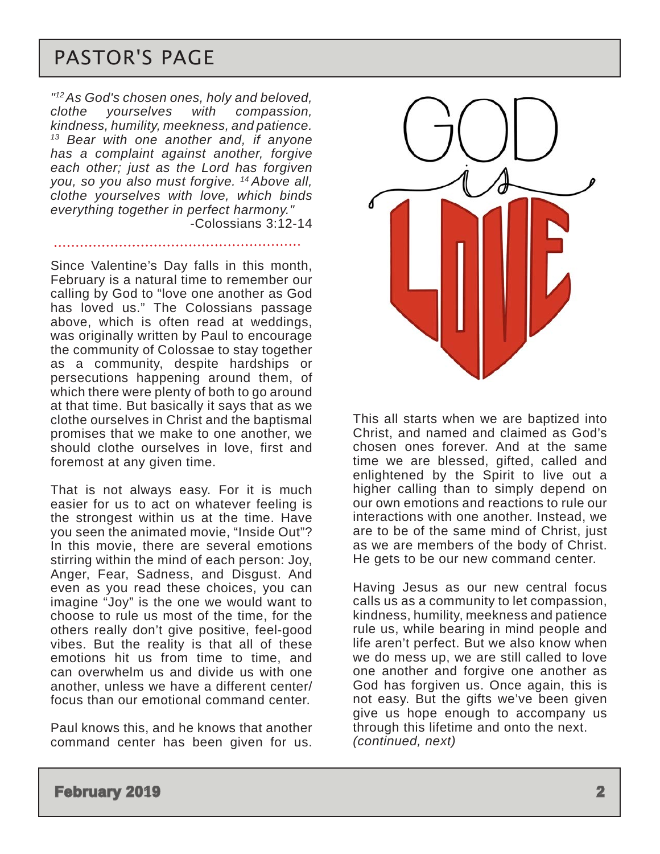### <span id="page-1-0"></span>PASTOR'S PAGE

*"12 As God's chosen ones, holy and beloved, clothe yourselves with compassion, kindness, humility, meekness, and patience. 13 Bear with one another and, if anyone has a complaint against another, forgive each other; just as the Lord has forgiven you, so you also must forgive. 14 Above all, clothe yourselves with love, which binds everything together in perfect harmony."*  -Colossians 3:12-14

Since Valentine's Day falls in this month, February is a natural time to remember our calling by God to "love one another as God has loved us." The Colossians passage above, which is often read at weddings, was originally written by Paul to encourage the community of Colossae to stay together as a community, despite hardships or persecutions happening around them, of which there were plenty of both to go around at that time. But basically it says that as we clothe ourselves in Christ and the baptismal promises that we make to one another, we should clothe ourselves in love, first and foremost at any given time.

That is not always easy. For it is much easier for us to act on whatever feeling is the strongest within us at the time. Have you seen the animated movie, "Inside Out"? In this movie, there are several emotions stirring within the mind of each person: Joy, Anger, Fear, Sadness, and Disgust. And even as you read these choices, you can imagine "Joy" is the one we would want to choose to rule us most of the time, for the others really don't give positive, feel-good vibes. But the reality is that all of these emotions hit us from time to time, and can overwhelm us and divide us with one another, unless we have a different center/ focus than our emotional command center.

Paul knows this, and he knows that another command center has been given for us.



This all starts when we are baptized into Christ, and named and claimed as God's chosen ones forever. And at the same time we are blessed, gifted, called and enlightened by the Spirit to live out a higher calling than to simply depend on our own emotions and reactions to rule our interactions with one another. Instead, we are to be of the same mind of Christ, just as we are members of the body of Christ. He gets to be our new command center.

Having Jesus as our new central focus calls us as a community to let compassion, kindness, humility, meekness and patience rule us, while bearing in mind people and life aren't perfect. But we also know when we do mess up, we are still called to love one another and forgive one another as God has forgiven us. Once again, this is not easy. But the gifts we've been given give us hope enough to accompany us through this lifetime and onto the next. *(continued, next)*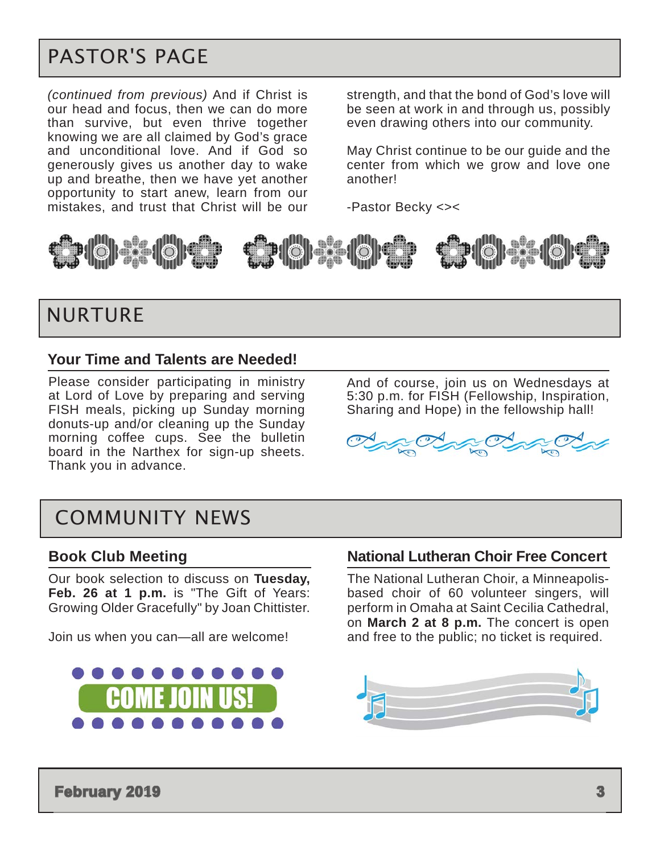## <span id="page-2-0"></span>PASTOR'S PAGE

*(continued from previous)* And if Christ is our head and focus, then we can do more than survive, but even thrive together knowing we are all claimed by God's grace and unconditional love. And if God so generously gives us another day to wake up and breathe, then we have yet another opportunity to start anew, learn from our mistakes, and trust that Christ will be our

strength, and that the bond of God's love will be seen at work in and through us, possibly even drawing others into our community.

May Christ continue to be our guide and the center from which we grow and love one another!

-Pastor Becky <><





### NURTURE

#### **Your Time and Talents are Needed!**

Please consider participating in ministry at Lord of Love by preparing and serving FISH meals, picking up Sunday morning donuts-up and/or cleaning up the Sunday morning coffee cups. See the bulletin board in the Narthex for sign-up sheets. Thank you in advance.

And of course, join us on Wednesdays at 5:30 p.m. for FISH (Fellowship, Inspiration, Sharing and Hope) in the fellowship hall!



### COMMUNITY NEWS

#### **Book Club Meeting**

Our book selection to discuss on **Tuesday, Feb. 26 at 1 p.m.** is "The Gift of Years: Growing Older Gracefully" by Joan Chittister.

Join us when you can—all are welcome!



#### **National Lutheran Choir Free Concert**

The National Lutheran Choir, a Minneapolisbased choir of 60 volunteer singers, will perform in Omaha at Saint Cecilia Cathedral, on **March 2 at 8 p.m.** The concert is open and free to the public; no ticket is required.

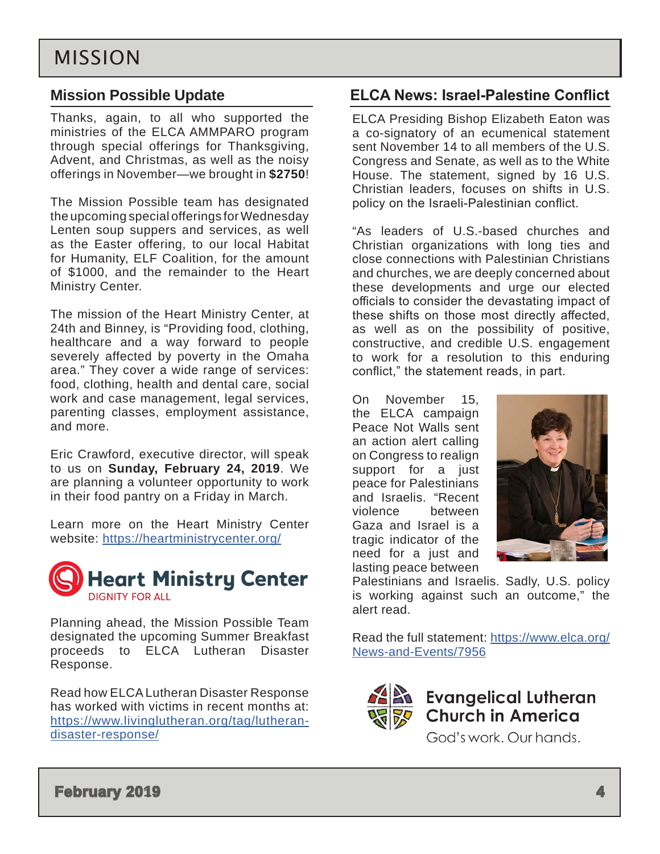### <span id="page-3-0"></span>**Mission Possible Update**

Thanks, again, to all who supported the ministries of the ELCA AMMPARO program through special offerings for Thanksgiving, Advent, and Christmas, as well as the noisy offerings in November—we brought in **\$2750**!

The Mission Possible team has designated the upcoming special offerings for Wednesday Lenten soup suppers and services, as well as the Easter offering, to our local Habitat for Humanity, ELF Coalition, for the amount of \$1000, and the remainder to the Heart Ministry Center.

The mission of the Heart Ministry Center, at 24th and Binney, is "Providing food, clothing, healthcare and a way forward to people severely affected by poverty in the Omaha area." They cover a wide range of services: food, clothing, health and dental care, social work and case management, legal services, parenting classes, employment assistance, and more.

Eric Crawford, executive director, will speak to us on **Sunday, February 24, 2019**. We are planning a volunteer opportunity to work in their food pantry on a Friday in March.

Learn more on the Heart Ministry Center website: <https://heartministrycenter.org/>



Planning ahead, the Mission Possible Team designated the upcoming Summer Breakfast proceeds to ELCA Lutheran Disaster Response.

Read how ELCA Lutheran Disaster Response has worked with victims in recent months at: [https://www.livinglutheran.org/tag/lutheran](https://www.livinglutheran.org/tag/lutheran-disaster-response/)[disaster-response/](https://www.livinglutheran.org/tag/lutheran-disaster-response/)

### **ELCA News: Israel-Palestine Conflict**

ELCA Presiding Bishop Elizabeth Eaton was a co-signatory of an ecumenical statement sent November 14 to all members of the U.S. Congress and Senate, as well as to the White House. The statement, signed by 16 U.S. Christian leaders, focuses on shifts in U.S. policy on the Israeli-Palestinian conflict.

"As leaders of U.S.-based churches and Christian organizations with long ties and close connections with Palestinian Christians and churches, we are deeply concerned about these developments and urge our elected officials to consider the devastating impact of these shifts on those most directly affected, as well as on the possibility of positive, constructive, and credible U.S. engagement to work for a resolution to this enduring conflict," the statement reads, in part.

On November 15, the ELCA campaign Peace Not Walls sent an action alert calling on Congress to realign support for a just peace for Palestinians and Israelis. "Recent violence between Gaza and Israel is a tragic indicator of the need for a just and lasting peace between



Palestinians and Israelis. Sadly, U.S. policy is working against such an outcome," the alert read.

Read the full statement: [https://www.elca.org/](https://www.elca.org/News-and-Events/7956) [News-and-Events/7956](https://www.elca.org/News-and-Events/7956)



**Evangelical Lutheran<br>Church in America** God's work, Our hands.

**February 2019 4**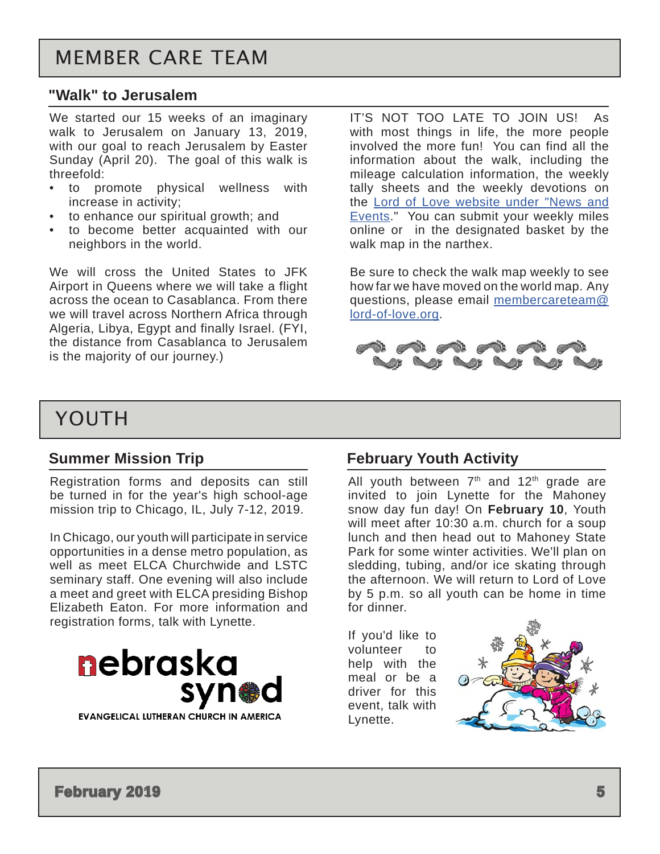#### <span id="page-4-0"></span>**"Walk" to Jerusalem**

We started our 15 weeks of an imaginary walk to Jerusalem on January 13, 2019, with our goal to reach Jerusalem by Easter Sunday (April 20). The goal of this walk is threefold:

- to promote physical wellness with increase in activity;
- to enhance our spiritual growth; and
- to become better acquainted with our neighbors in the world.

We will cross the United States to JFK Airport in Queens where we will take a flight across the ocean to Casablanca. From there we will travel across Northern Africa through Algeria, Libya, Egypt and finally Israel. (FYI, the distance from Casablanca to Jerusalem is the majority of our journey.)

IT'S NOT TOO LATE TO JOIN US! As with most things in life, the more people involved the more fun! You can find all the information about the walk, including the mileage calculation information, the weekly tally sheets and the weekly devotions on the [Lord of Love website under "News and](http://lord-of-love.org/news-and-events/walk-to-jerusalem-2019)  [Events.](http://lord-of-love.org/news-and-events/walk-to-jerusalem-2019)" You can submit your weekly miles online or in the designated basket by the walk map in the narthex.

Be sure to check the walk map weekly to see how far we have moved on the world map. Any questions, please email [membercareteam@](mailto:membercareteam%40lord-of-love.org?subject=) [lord-of-love.org.](mailto:membercareteam%40lord-of-love.org?subject=)



### YOUTH

#### **Summer Mission Trip**

Registration forms and deposits can still be turned in for the year's high school-age mission trip to Chicago, IL, July 7-12, 2019.

In Chicago, our youth will participate in service opportunities in a dense metro population, as well as meet ELCA Churchwide and LSTC seminary staff. One evening will also include a meet and greet with ELCA presiding Bishop Elizabeth Eaton. For more information and registration forms, talk with Lynette.



#### **February Youth Activity**

All youth between  $7<sup>th</sup>$  and  $12<sup>th</sup>$  grade are invited to join Lynette for the Mahoney snow day fun day! On **February 10**, Youth will meet after 10:30 a.m. church for a soup lunch and then head out to Mahoney State Park for some winter activities. We'll plan on sledding, tubing, and/or ice skating through the afternoon. We will return to Lord of Love by 5 p.m. so all youth can be home in time for dinner.

If you'd like to volunteer to help with the meal or be a driver for this event, talk with Lynette.



**February 2019 5**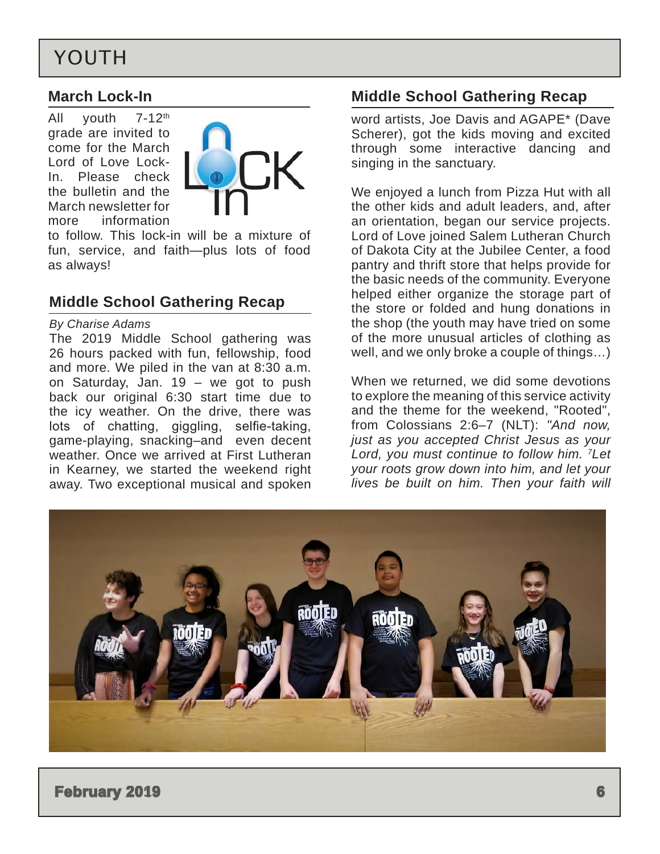## <span id="page-5-0"></span>YOUTH

#### **March Lock-In**

All youth 7-12<sup>th</sup> grade are invited to come for the March Lord of Love Lock-In. Please check the bulletin and the March newsletter for more information



to follow. This lock-in will be a mixture of fun, service, and faith—plus lots of food as always!

### **Middle School Gathering Recap**

#### *By Charise Adams*

The 2019 Middle School gathering was 26 hours packed with fun, fellowship, food and more. We piled in the van at 8:30 a.m. on Saturday, Jan. 19 – we got to push back our original 6:30 start time due to the icy weather. On the drive, there was lots of chatting, giggling, selfie-taking, game-playing, snacking–and even decent weather. Once we arrived at First Lutheran in Kearney, we started the weekend right away. Two exceptional musical and spoken

### **Middle School Gathering Recap**

word artists, Joe Davis and AGAPE\* (Dave Scherer), got the kids moving and excited through some interactive dancing and singing in the sanctuary.

We enjoyed a lunch from Pizza Hut with all the other kids and adult leaders, and, after an orientation, began our service projects. Lord of Love joined Salem Lutheran Church of Dakota City at the Jubilee Center, a food pantry and thrift store that helps provide for the basic needs of the community. Everyone helped either organize the storage part of the store or folded and hung donations in the shop (the youth may have tried on some of the more unusual articles of clothing as well, and we only broke a couple of things…)

When we returned, we did some devotions to explore the meaning of this service activity and the theme for the weekend, "Rooted", from Colossians 2:6–7 (NLT): *"And now, just as you accepted Christ Jesus as your Lord, you must continue to follow him. 7Let your roots grow down into him, and let your lives be built on him. Then your faith will* 

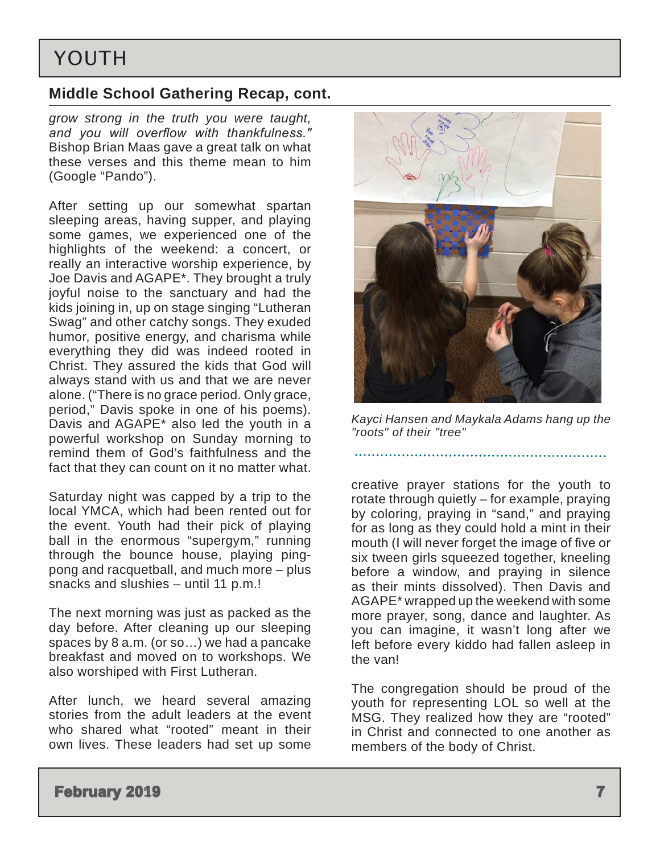## YOUTH

### **Middle School Gathering Recap, cont.**

*grow strong in the truth you were taught, and you will overflow with thankfulness."* Bishop Brian Maas gave a great talk on what these verses and this theme mean to him (Google "Pando").

After setting up our somewhat spartan sleeping areas, having supper, and playing some games, we experienced one of the highlights of the weekend: a concert, or really an interactive worship experience, by Joe Davis and AGAPE\*. They brought a truly joyful noise to the sanctuary and had the kids joining in, up on stage singing "Lutheran Swag" and other catchy songs. They exuded humor, positive energy, and charisma while everything they did was indeed rooted in Christ. They assured the kids that God will always stand with us and that we are never alone. ("There is no grace period. Only grace, period," Davis spoke in one of his poems). Davis and AGAPE\* also led the youth in a powerful workshop on Sunday morning to remind them of God's faithfulness and the fact that they can count on it no matter what.

Saturday night was capped by a trip to the local YMCA, which had been rented out for the event. Youth had their pick of playing ball in the enormous "supergym," running through the bounce house, playing pingpong and racquetball, and much more – plus snacks and slushies – until 11 p.m.!

The next morning was just as packed as the day before. After cleaning up our sleeping spaces by 8 a.m. (or so…) we had a pancake breakfast and moved on to workshops. We also worshiped with First Lutheran.

After lunch, we heard several amazing stories from the adult leaders at the event who shared what "rooted" meant in their own lives. These leaders had set up some



*Kayci Hansen and Maykala Adams hang up the "roots" of their "tree"*

creative prayer stations for the youth to rotate through quietly – for example, praying by coloring, praying in "sand," and praying for as long as they could hold a mint in their mouth (I will never forget the image of five or six tween girls squeezed together, kneeling before a window, and praying in silence as their mints dissolved). Then Davis and AGAPE\* wrapped up the weekend with some more prayer, song, dance and laughter. As you can imagine, it wasn't long after we left before every kiddo had fallen asleep in the van!

The congregation should be proud of the youth for representing LOL so well at the MSG. They realized how they are "rooted" in Christ and connected to one another as members of the body of Christ.

#### **February 2019 7 7**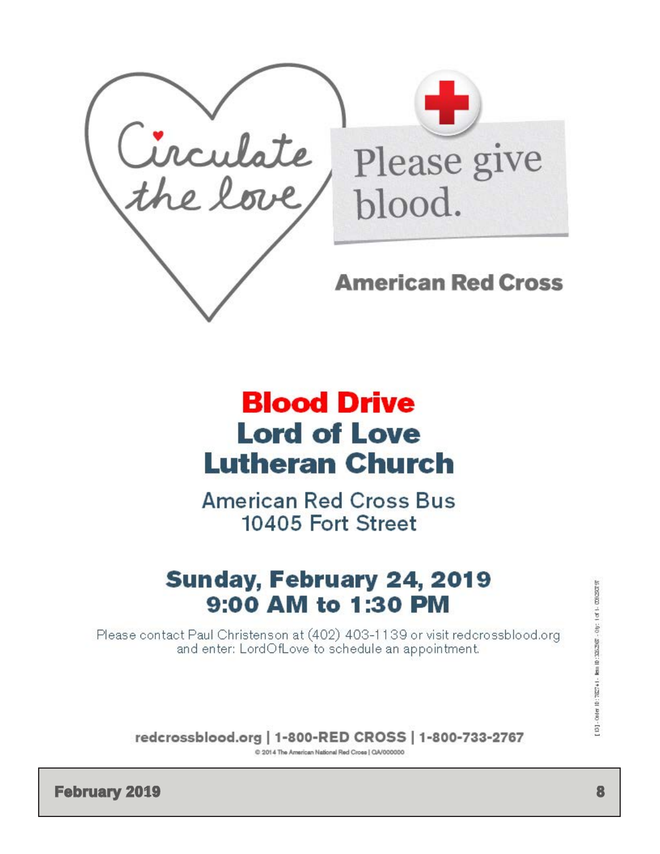<span id="page-7-0"></span>

# **Blood Drive Lord of Love Lutheran Church**

**American Red Cross Bus** 10405 Fort Street

# Sunday, February 24, 2019 9:00 AM to 1:30 PM

Please contact Paul Christenson at (402) 403-1139 or visit redcrossblood.org and enter: LordOfLove to schedule an appointment.

redcrossblood.org | 1-800-RED CROSS | 1-800-733-2767

C 2014 The American National Red Cross | QA/000000

**February 2019** 8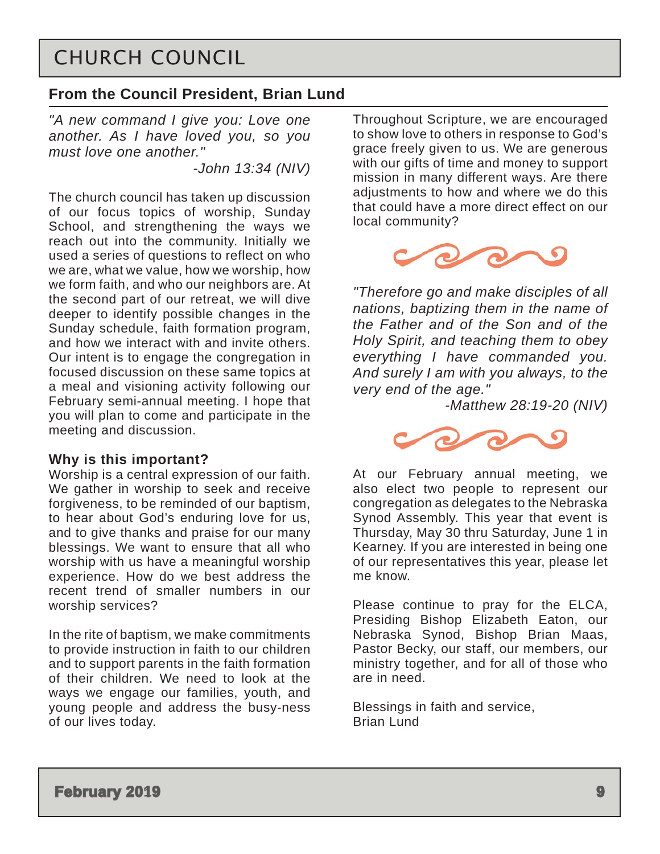### <span id="page-8-0"></span>CHURCH COUNCIL

### **From the Council President, Brian Lund**

*"A new command I give you: Love one another. As I have loved you, so you must love one another."*

*-John 13:34 (NIV)*

The church council has taken up discussion of our focus topics of worship, Sunday School, and strengthening the ways we reach out into the community. Initially we used a series of questions to reflect on who we are, what we value, how we worship, how we form faith, and who our neighbors are. At the second part of our retreat, we will dive deeper to identify possible changes in the Sunday schedule, faith formation program, and how we interact with and invite others. Our intent is to engage the congregation in focused discussion on these same topics at a meal and visioning activity following our February semi-annual meeting. I hope that you will plan to come and participate in the meeting and discussion.

### **Why is this important?**

Worship is a central expression of our faith. We gather in worship to seek and receive forgiveness, to be reminded of our baptism, to hear about God's enduring love for us, and to give thanks and praise for our many blessings. We want to ensure that all who worship with us have a meaningful worship experience. How do we best address the recent trend of smaller numbers in our worship services?

In the rite of baptism, we make commitments to provide instruction in faith to our children and to support parents in the faith formation of their children. We need to look at the ways we engage our families, youth, and young people and address the busy-ness of our lives today.

Throughout Scripture, we are encouraged to show love to others in response to God's grace freely given to us. We are generous with our gifts of time and money to support mission in many different ways. Are there adjustments to how and where we do this that could have a more direct effect on our local community?



*"Therefore go and make disciples of all nations, baptizing them in the name of the Father and of the Son and of the Holy Spirit, and teaching them to obey everything I have commanded you. And surely I am with you always, to the very end of the age."*

*-Matthew 28:19-20 (NIV)* 



At our February annual meeting, we also elect two people to represent our congregation as delegates to the Nebraska Synod Assembly. This year that event is Thursday, May 30 thru Saturday, June 1 in Kearney. If you are interested in being one of our representatives this year, please let me know.

Please continue to pray for the ELCA, Presiding Bishop Elizabeth Eaton, our Nebraska Synod, Bishop Brian Maas, Pastor Becky, our staff, our members, our ministry together, and for all of those who are in need.

Blessings in faith and service, Brian Lund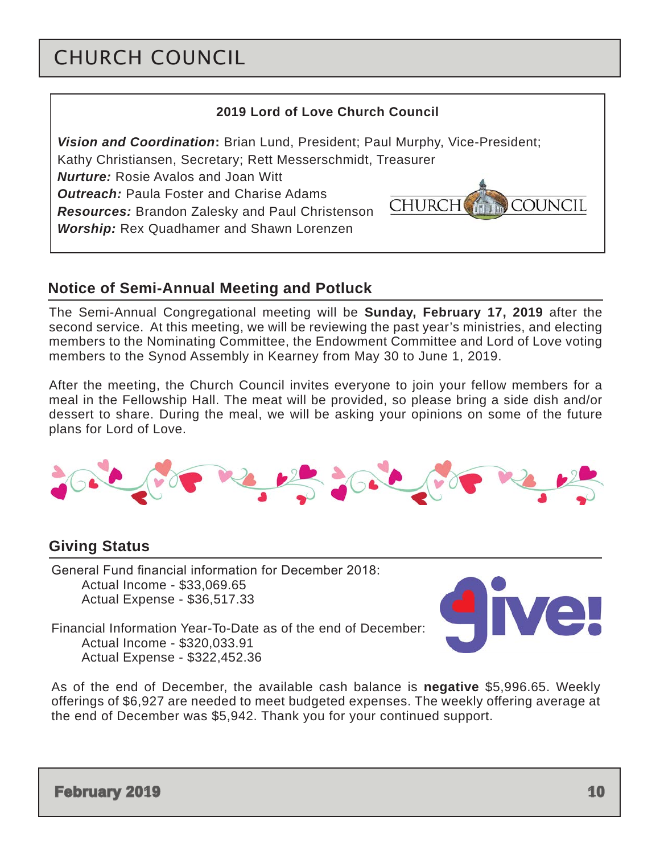## CHURCH COUNCIL

### **2019 Lord of Love Church Council** *Vision and Coordination***:** Brian Lund, President; Paul Murphy, Vice-President; Kathy Christiansen, Secretary; Rett Messerschmidt, Treasurer *Nurture:* Rosie Avalos and Joan Witt *Outreach:* Paula Foster and Charise Adams **CHURCH COUNCIL** *Resources:* Brandon Zalesky and Paul Christenson *Worship:* Rex Quadhamer and Shawn Lorenzen

### **Notice of Semi-Annual Meeting and Potluck**

The Semi-Annual Congregational meeting will be **Sunday, February 17, 2019** after the second service. At this meeting, we will be reviewing the past year's ministries, and electing members to the Nominating Committee, the Endowment Committee and Lord of Love voting members to the Synod Assembly in Kearney from May 30 to June 1, 2019.

After the meeting, the Church Council invites everyone to join your fellow members for a meal in the Fellowship Hall. The meat will be provided, so please bring a side dish and/or dessert to share. During the meal, we will be asking your opinions on some of the future plans for Lord of Love.



### **Giving Status**

General Fund financial information for December 2018: Actual Income - \$33,069.65 Actual Expense - \$36,517.33



Financial Information Year-To-Date as of the end of December: Actual Income - \$320,033.91 Actual Expense - \$322,452.36

As of the end of December, the available cash balance is **negative** \$5,996.65. Weekly offerings of \$6,927 are needed to meet budgeted expenses. The weekly offering average at the end of December was \$5,942. Thank you for your continued support.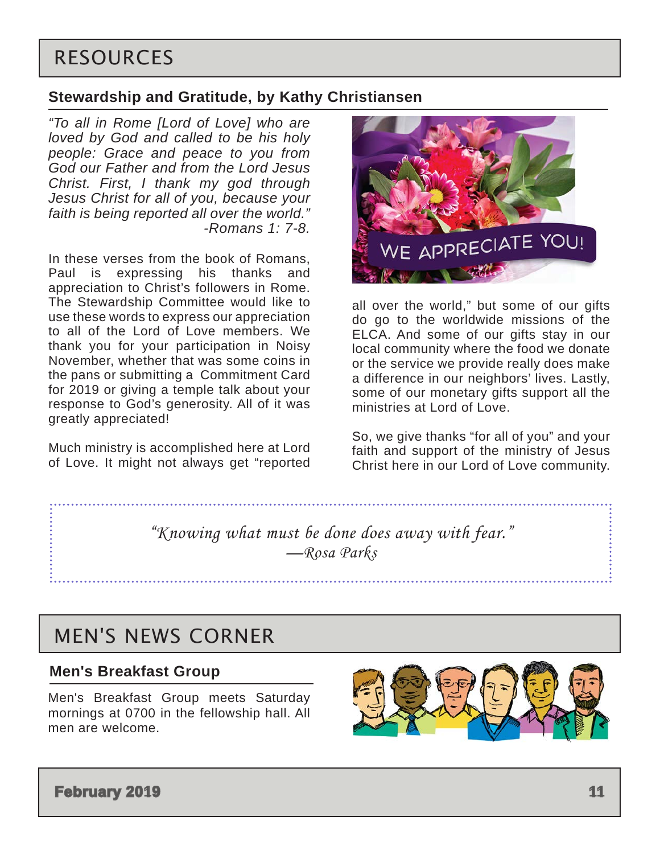## <span id="page-10-0"></span>RESOURCES

### **Stewardship and Gratitude, by Kathy Christiansen**

*"To all in Rome [Lord of Love] who are loved by God and called to be his holy people: Grace and peace to you from God our Father and from the Lord Jesus Christ. First, I thank my god through Jesus Christ for all of you, because your faith is being reported all over the world." -Romans 1: 7-8.*

In these verses from the book of Romans, Paul is expressing his thanks and appreciation to Christ's followers in Rome. The Stewardship Committee would like to use these words to express our appreciation to all of the Lord of Love members. We thank you for your participation in Noisy November, whether that was some coins in the pans or submitting a Commitment Card for 2019 or giving a temple talk about your response to God's generosity. All of it was greatly appreciated!

Much ministry is accomplished here at Lord of Love. It might not always get "reported



all over the world," but some of our gifts do go to the worldwide missions of the ELCA. And some of our gifts stay in our local community where the food we donate or the service we provide really does make a difference in our neighbors' lives. Lastly, some of our monetary gifts support all the ministries at Lord of Love.

So, we give thanks "for all of you" and your faith and support of the ministry of Jesus Christ here in our Lord of Love community.

*"Knowing what must be done does away with fear." —Rosa Parks*

### MEN'S NEWS CORNER

#### **Men's Breakfast Group**

Men's Breakfast Group meets Saturday mornings at 0700 in the fellowship hall. All men are welcome.

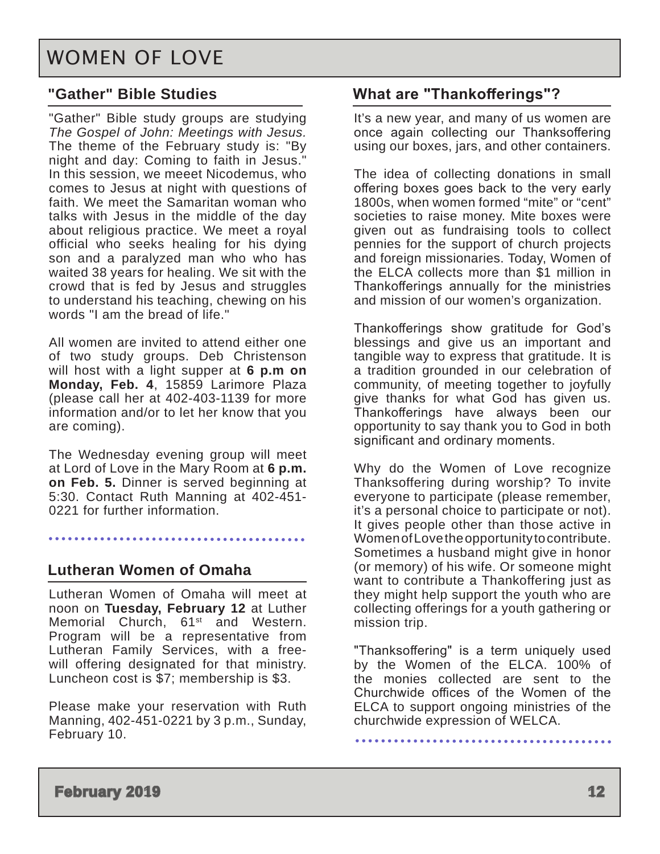## <span id="page-11-0"></span>WOMEN OF LOVE

### **"Gather" Bible Studies**

"Gather" Bible study groups are studying *The Gospel of John: Meetings with Jesus.*  The theme of the February study is: "By night and day: Coming to faith in Jesus." In this session, we meeet Nicodemus, who comes to Jesus at night with questions of faith. We meet the Samaritan woman who talks with Jesus in the middle of the day about religious practice. We meet a royal official who seeks healing for his dying son and a paralyzed man who who has waited 38 years for healing. We sit with the crowd that is fed by Jesus and struggles to understand his teaching, chewing on his words "I am the bread of life."

All women are invited to attend either one of two study groups. Deb Christenson will host with a light supper at **6 p.m on Monday, Feb. 4**, 15859 Larimore Plaza (please call her at 402-403-1139 for more information and/or to let her know that you are coming).

The Wednesday evening group will meet at Lord of Love in the Mary Room at **6 p.m. on Feb. 5.** Dinner is served beginning at 5:30. Contact Ruth Manning at 402-451- 0221 for further information.

### **Lutheran Women of Omaha**

Lutheran Women of Omaha will meet at noon on **Tuesday, February 12** at Luther Memorial Church, 61<sup>st</sup> and Western. Program will be a representative from Lutheran Family Services, with a freewill offering designated for that ministry. Luncheon cost is \$7; membership is \$3.

Please make your reservation with Ruth Manning, 402-451-0221 by 3 p.m., Sunday, February 10.

### **What are "Thankofferings"?**

It's a new year, and many of us women are once again collecting our Thanksoffering using our boxes, jars, and other containers.

The idea of collecting donations in small offering boxes goes back to the very early 1800s, when women formed "mite" or "cent" societies to raise money. Mite boxes were given out as fundraising tools to collect pennies for the support of church projects and foreign missionaries. Today, Women of the ELCA collects more than \$1 million in Thankofferings annually for the ministries and mission of our women's organization.

Thankofferings show gratitude for God's blessings and give us an important and tangible way to express that gratitude. It is a tradition grounded in our celebration of community, of meeting together to joyfully give thanks for what God has given us. Thankofferings have always been our opportunity to say thank you to God in both significant and ordinary moments.

Why do the Women of Love recognize Thanksoffering during worship? To invite everyone to participate (please remember, it's a personal choice to participate or not). It gives people other than those active in Women of Love the opportunity to contribute. Sometimes a husband might give in honor (or memory) of his wife. Or someone might want to contribute a Thankoffering just as they might help support the youth who are collecting offerings for a youth gathering or mission trip.

"Thanksoffering" is a term uniquely used by the Women of the ELCA. 100% of the monies collected are sent to the Churchwide offices of the Women of the ELCA to support ongoing ministries of the churchwide expression of WELCA.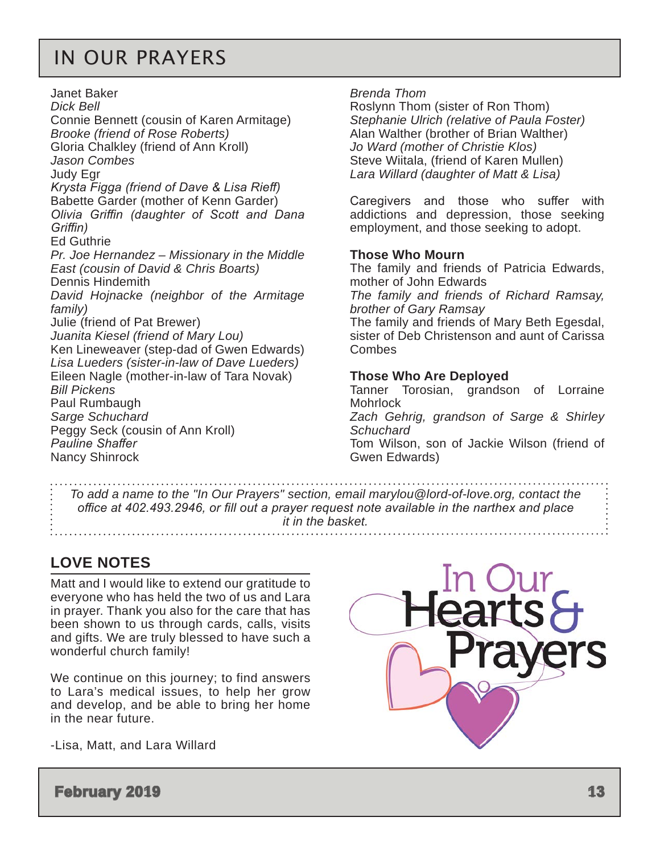## <span id="page-12-0"></span>IN OUR PRAYERS

Janet Baker *Dick Bell* Connie Bennett (cousin of Karen Armitage) *Brooke (friend of Rose Roberts)* Gloria Chalkley (friend of Ann Kroll) *Jason Combes* Judy Egr *Krysta Figga (friend of Dave & Lisa Rieff)* Babette Garder (mother of Kenn Garder) *Olivia Griffin (daughter of Scott and Dana Griffin)* Ed Guthrie *Pr. Joe Hernandez – Missionary in the Middle East (cousin of David & Chris Boarts)* Dennis Hindemith *David Hojnacke (neighbor of the Armitage family)* Julie (friend of Pat Brewer) *Juanita Kiesel (friend of Mary Lou)* Ken Lineweaver (step-dad of Gwen Edwards) *Lisa Lueders (sister-in-law of Dave Lueders)* Eileen Nagle (mother-in-law of Tara Novak) *Bill Pickens* Paul Rumbaugh *Sarge Schuchard* Peggy Seck (cousin of Ann Kroll) *Pauline Shaffer*  Nancy Shinrock

*Brenda Thom*

Roslynn Thom (sister of Ron Thom) *Stephanie Ulrich (relative of Paula Foster)* Alan Walther (brother of Brian Walther) *Jo Ward (mother of Christie Klos)*  Steve Wiitala, (friend of Karen Mullen) *Lara Willard (daughter of Matt & Lisa)*

Caregivers and those who suffer with addictions and depression, those seeking employment, and those seeking to adopt.

#### **Those Who Mourn**

The family and friends of Patricia Edwards, mother of John Edwards

*The family and friends of Richard Ramsay, brother of Gary Ramsay*

The family and friends of Mary Beth Egesdal, sister of Deb Christenson and aunt of Carissa **Combes** 

#### **Those Who Are Deployed**

Tanner Torosian, grandson of Lorraine **Mohrlock** 

*Zach Gehrig, grandson of Sarge & Shirley Schuchard*

Tom Wilson, son of Jackie Wilson (friend of Gwen Edwards)

*To add a name to the "In Our Prayers" section, email marylou@lord-of-love.org, contact the office at 402.493.2946, or fill out a prayer request note available in the narthex and place it in the basket.* 

### **LOVE NOTES**

Matt and I would like to extend our gratitude to everyone who has held the two of us and Lara in prayer. Thank you also for the care that has been shown to us through cards, calls, visits and gifts. We are truly blessed to have such a wonderful church family!

We continue on this journey; to find answers to Lara's medical issues, to help her grow and develop, and be able to bring her home in the near future.

-Lisa, Matt, and Lara Willard



**February 2019 13 13**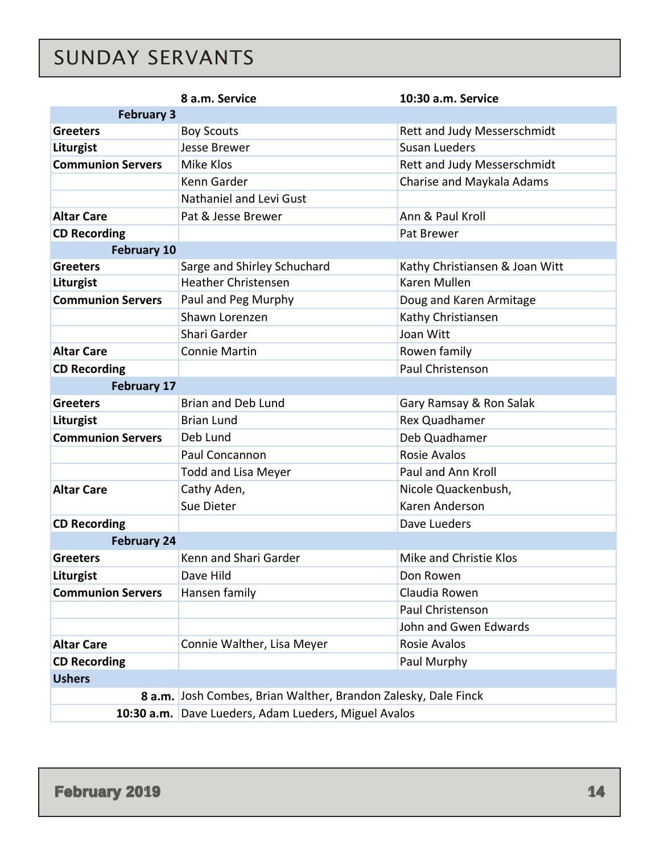# <span id="page-13-0"></span>SUNDAY SERVANTS

|                          | 8 a.m. Service<br>10:30 a.m. Service                           |                                |  |  |  |  |  |
|--------------------------|----------------------------------------------------------------|--------------------------------|--|--|--|--|--|
| <b>February 3</b>        |                                                                |                                |  |  |  |  |  |
| <b>Greeters</b>          | <b>Boy Scouts</b>                                              | Rett and Judy Messerschmidt    |  |  |  |  |  |
| Liturgist                | Jesse Brewer                                                   | <b>Susan Lueders</b>           |  |  |  |  |  |
| <b>Communion Servers</b> | Mike Klos                                                      | Rett and Judy Messerschmidt    |  |  |  |  |  |
|                          | Kenn Garder                                                    | Charise and Maykala Adams      |  |  |  |  |  |
|                          | Nathaniel and Levi Gust                                        |                                |  |  |  |  |  |
| <b>Altar Care</b>        | Pat & Jesse Brewer                                             | Ann & Paul Kroll               |  |  |  |  |  |
| <b>CD Recording</b>      |                                                                | Pat Brewer                     |  |  |  |  |  |
| <b>February 10</b>       |                                                                |                                |  |  |  |  |  |
| <b>Greeters</b>          | Sarge and Shirley Schuchard                                    | Kathy Christiansen & Joan Witt |  |  |  |  |  |
| Liturgist                | <b>Heather Christensen</b>                                     | Karen Mullen                   |  |  |  |  |  |
| <b>Communion Servers</b> | Paul and Peg Murphy                                            | Doug and Karen Armitage        |  |  |  |  |  |
|                          | Shawn Lorenzen                                                 | Kathy Christiansen             |  |  |  |  |  |
|                          | Shari Garder                                                   | Joan Witt                      |  |  |  |  |  |
| <b>Altar Care</b>        | <b>Connie Martin</b>                                           | Rowen family                   |  |  |  |  |  |
| <b>CD Recording</b>      |                                                                | Paul Christenson               |  |  |  |  |  |
| <b>February 17</b>       |                                                                |                                |  |  |  |  |  |
| <b>Greeters</b>          | <b>Brian and Deb Lund</b>                                      | Gary Ramsay & Ron Salak        |  |  |  |  |  |
| Liturgist                | <b>Brian Lund</b>                                              | <b>Rex Quadhamer</b>           |  |  |  |  |  |
| <b>Communion Servers</b> | Deb Lund                                                       | Deb Quadhamer                  |  |  |  |  |  |
|                          | Paul Concannon                                                 | <b>Rosie Avalos</b>            |  |  |  |  |  |
|                          | <b>Todd and Lisa Meyer</b>                                     | Paul and Ann Kroll             |  |  |  |  |  |
| <b>Altar Care</b>        | Cathy Aden,                                                    | Nicole Quackenbush,            |  |  |  |  |  |
|                          | Sue Dieter                                                     | Karen Anderson                 |  |  |  |  |  |
| <b>CD Recording</b>      |                                                                | Dave Lueders                   |  |  |  |  |  |
| <b>February 24</b>       |                                                                |                                |  |  |  |  |  |
| <b>Greeters</b>          | Kenn and Shari Garder                                          | Mike and Christie Klos         |  |  |  |  |  |
| Liturgist                | Dave Hild                                                      | Don Rowen                      |  |  |  |  |  |
| <b>Communion Servers</b> | Hansen family                                                  | Claudia Rowen                  |  |  |  |  |  |
|                          |                                                                | Paul Christenson               |  |  |  |  |  |
|                          |                                                                | John and Gwen Edwards          |  |  |  |  |  |
| <b>Altar Care</b>        | Connie Walther, Lisa Meyer                                     | Rosie Avalos                   |  |  |  |  |  |
| <b>CD Recording</b>      |                                                                | Paul Murphy                    |  |  |  |  |  |
| <b>Ushers</b>            |                                                                |                                |  |  |  |  |  |
|                          | 8 a.m. Josh Combes, Brian Walther, Brandon Zalesky, Dale Finck |                                |  |  |  |  |  |
|                          | 10:30 a.m. Dave Lueders, Adam Lueders, Miguel Avalos           |                                |  |  |  |  |  |